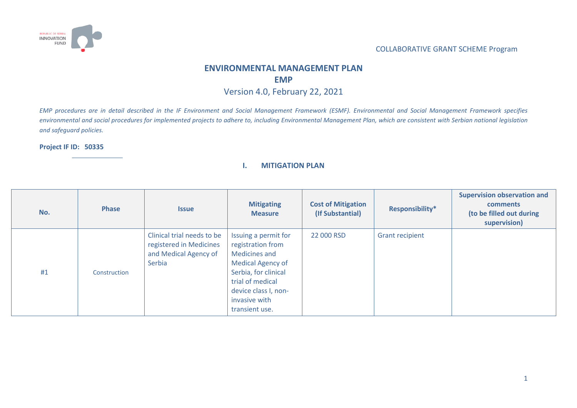

# **ENVIRONMENTAL MANAGEMENT PLAN**

#### **EMP**

Version 4.0, February 22, 2021

*EMP procedures are in detail described in the IF Environment and Social Management Framework (ESMF). Environmental and Social Management Framework specifies environmental and social procedures for implemented projects to adhere to, including Environmental Management Plan, which are consistent with Serbian national legislation and safeguard policies.*

#### **Project IF ID: 50335**

#### **I. MITIGATION PLAN**

| No. | <b>Phase</b> | <b>Issue</b>                                                                             | <b>Mitigating</b><br><b>Measure</b>                                                                                                                                                                  | <b>Cost of Mitigation</b><br>(If Substantial) | Responsibility*        | <b>Supervision observation and</b><br>comments<br>(to be filled out during<br>supervision) |
|-----|--------------|------------------------------------------------------------------------------------------|------------------------------------------------------------------------------------------------------------------------------------------------------------------------------------------------------|-----------------------------------------------|------------------------|--------------------------------------------------------------------------------------------|
| #1  | Construction | Clinical trial needs to be<br>registered in Medicines<br>and Medical Agency of<br>Serbia | Issuing a permit for<br>registration from<br><b>Medicines and</b><br><b>Medical Agency of</b><br>Serbia, for clinical<br>trial of medical<br>device class I, non-<br>invasive with<br>transient use. | 22 000 RSD                                    | <b>Grant recipient</b> |                                                                                            |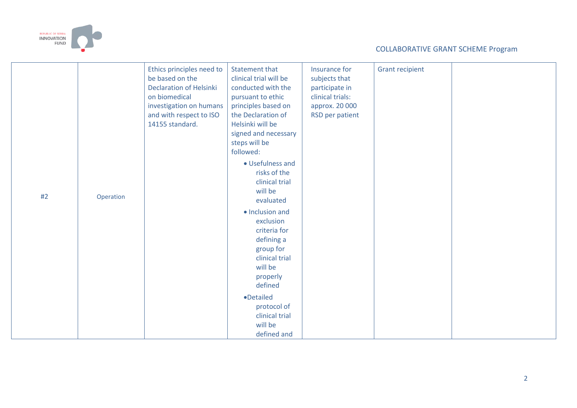

| #2 | Operation | Ethics principles need to<br>be based on the<br><b>Declaration of Helsinki</b><br>on biomedical<br>investigation on humans<br>and with respect to ISO<br>14155 standard. | <b>Statement that</b><br>clinical trial will be<br>conducted with the<br>pursuant to ethic<br>principles based on<br>the Declaration of<br>Helsinki will be<br>signed and necessary<br>steps will be<br>followed:<br>• Usefulness and<br>risks of the<br>clinical trial<br>will be<br>evaluated<br>· Inclusion and<br>exclusion<br>criteria for<br>defining a<br>group for<br>clinical trial<br>will be<br>properly<br>defined | Insurance for<br>subjects that<br>participate in<br>clinical trials:<br>approx. 20 000<br>RSD per patient | <b>Grant recipient</b> |  |
|----|-----------|--------------------------------------------------------------------------------------------------------------------------------------------------------------------------|--------------------------------------------------------------------------------------------------------------------------------------------------------------------------------------------------------------------------------------------------------------------------------------------------------------------------------------------------------------------------------------------------------------------------------|-----------------------------------------------------------------------------------------------------------|------------------------|--|
|    |           |                                                                                                                                                                          | ·Detailed                                                                                                                                                                                                                                                                                                                                                                                                                      |                                                                                                           |                        |  |
|    |           |                                                                                                                                                                          | protocol of<br>clinical trial<br>will be                                                                                                                                                                                                                                                                                                                                                                                       |                                                                                                           |                        |  |
|    |           |                                                                                                                                                                          | defined and                                                                                                                                                                                                                                                                                                                                                                                                                    |                                                                                                           |                        |  |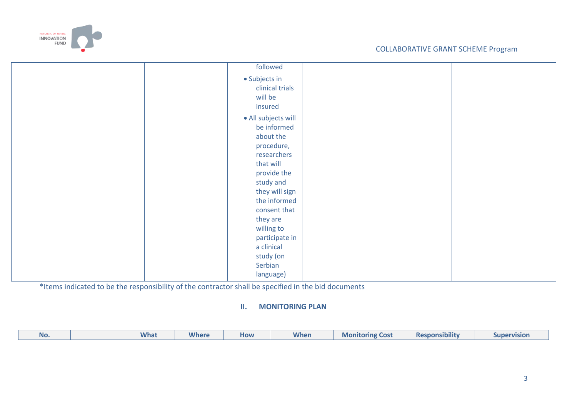

\*Items indicated to be the responsibility of the contractor shall be specified in the bid documents

## **II. MONITORING PLAN**

| .<br><b>Where</b><br>When<br><b>Responsibility</b><br><b>What</b><br><b>Monitoring</b><br>Cost<br>How<br><b>Supervision</b><br>NO. |  |
|------------------------------------------------------------------------------------------------------------------------------------|--|
|------------------------------------------------------------------------------------------------------------------------------------|--|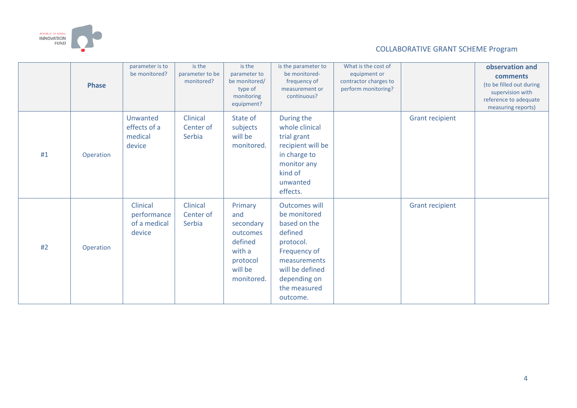

|    | <b>Phase</b> | parameter is to<br>be monitored?                  | is the<br>parameter to be<br>monitored? | is the<br>parameter to<br>be monitored/<br>type of<br>monitoring<br>equipment?                    | is the parameter to<br>be monitored-<br>frequency of<br>measurement or<br>continuous?                                                                                       | What is the cost of<br>equipment or<br>contractor charges to<br>perform monitoring? |                        | observation and<br>comments<br>(to be filled out during<br>supervision with<br>reference to adequate<br>measuring reports) |
|----|--------------|---------------------------------------------------|-----------------------------------------|---------------------------------------------------------------------------------------------------|-----------------------------------------------------------------------------------------------------------------------------------------------------------------------------|-------------------------------------------------------------------------------------|------------------------|----------------------------------------------------------------------------------------------------------------------------|
| #1 | Operation    | Unwanted<br>effects of a<br>medical<br>device     | Clinical<br>Center of<br>Serbia         | State of<br>subjects<br>will be<br>monitored.                                                     | During the<br>whole clinical<br>trial grant<br>recipient will be<br>in charge to<br>monitor any<br>kind of<br>unwanted<br>effects.                                          |                                                                                     | <b>Grant recipient</b> |                                                                                                                            |
| #2 | Operation    | Clinical<br>performance<br>of a medical<br>device | Clinical<br>Center of<br>Serbia         | Primary<br>and<br>secondary<br>outcomes<br>defined<br>with a<br>protocol<br>will be<br>monitored. | <b>Outcomes will</b><br>be monitored<br>based on the<br>defined<br>protocol.<br>Frequency of<br>measurements<br>will be defined<br>depending on<br>the measured<br>outcome. |                                                                                     | <b>Grant recipient</b> |                                                                                                                            |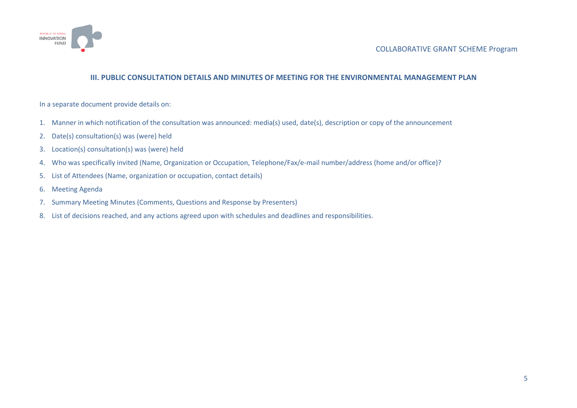

#### **III. PUBLIC CONSULTATION DETAILS AND MINUTES OF MEETING FOR THE ENVIRONMENTAL MANAGEMENT PLAN**

In a separate document provide details on:

- 1. Manner in which notification of the consultation was announced: media(s) used, date(s), description or copy of the announcement
- 2. Date(s) consultation(s) was (were) held
- 3. Location(s) consultation(s) was (were) held
- 4. Who was specifically invited (Name, Organization or Occupation, Telephone/Fax/e-mail number/address (home and/or office)?
- 5. List of Attendees (Name, organization or occupation, contact details)
- 6. Meeting Agenda
- 7. Summary Meeting Minutes (Comments, Questions and Response by Presenters)
- 8. List of decisions reached, and any actions agreed upon with schedules and deadlines and responsibilities.